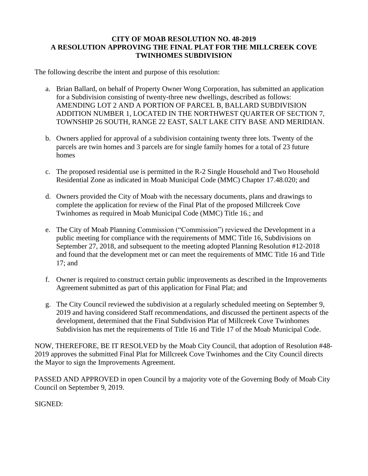## **CITY OF MOAB RESOLUTION NO. 48-2019 A RESOLUTION APPROVING THE FINAL PLAT FOR THE MILLCREEK COVE TWINHOMES SUBDIVISION**

The following describe the intent and purpose of this resolution:

- a. Brian Ballard, on behalf of Property Owner Wong Corporation, has submitted an application for a Subdivision consisting of twenty-three new dwellings, described as follows: AMENDING LOT 2 AND A PORTION OF PARCEL B, BALLARD SUBDIVISION ADDITION NUMBER 1, LOCATED IN THE NORTHWEST QUARTER OF SECTION 7, TOWNSHIP 26 SOUTH, RANGE 22 EAST, SALT LAKE CITY BASE AND MERIDIAN.
- b. Owners applied for approval of a subdivision containing twenty three lots. Twenty of the parcels are twin homes and 3 parcels are for single family homes for a total of 23 future homes
- c. The proposed residential use is permitted in the R-2 Single Household and Two Household Residential Zone as indicated in Moab Municipal Code (MMC) Chapter 17.48.020; and
- d. Owners provided the City of Moab with the necessary documents, plans and drawings to complete the application for review of the Final Plat of the proposed Millcreek Cove Twinhomes as required in Moab Municipal Code (MMC) Title 16.; and
- e. The City of Moab Planning Commission ("Commission") reviewed the Development in a public meeting for compliance with the requirements of MMC Title 16, Subdivisions on September 27, 2018, and subsequent to the meeting adopted Planning Resolution #12-2018 and found that the development met or can meet the requirements of MMC Title 16 and Title 17; and
- f. Owner is required to construct certain public improvements as described in the Improvements Agreement submitted as part of this application for Final Plat; and
- g. The City Council reviewed the subdivision at a regularly scheduled meeting on September 9, 2019 and having considered Staff recommendations, and discussed the pertinent aspects of the development, determined that the Final Subdivision Plat of Millcreek Cove Twinhomes Subdivision has met the requirements of Title 16 and Title 17 of the Moab Municipal Code.

NOW, THEREFORE, BE IT RESOLVED by the Moab City Council, that adoption of Resolution #48- 2019 approves the submitted Final Plat for Millcreek Cove Twinhomes and the City Council directs the Mayor to sign the Improvements Agreement.

PASSED AND APPROVED in open Council by a majority vote of the Governing Body of Moab City Council on September 9, 2019.

SIGNED: